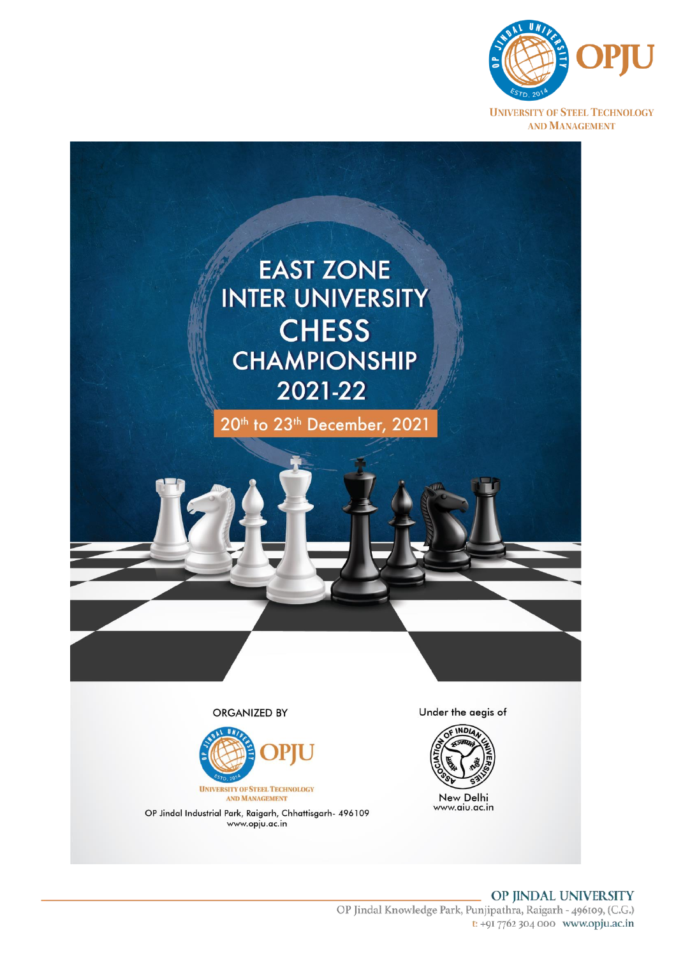



**AND MANAGEMENT** 

OP Jindal Industrial Park, Raigarh, Chhattisgarh- 496109 www.opju.ac.in

New Delhi www.aiu.ac.in

### OP JINDAL UNIVERSITY OP Jindal Knowledge Park, Punjipathra, Raigarh - 496109, (C.G.) t: +9I 7762 304 000 www.opju.ac.in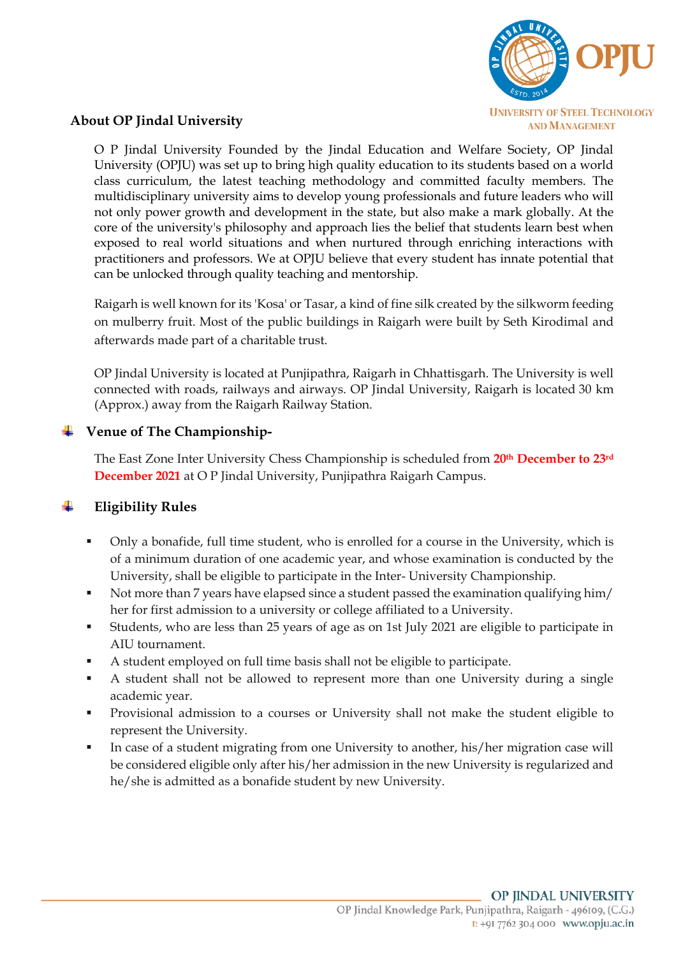

### **About OP Jindal University**

O P Jindal University Founded by the Jindal Education and Welfare Society, OP Jindal University (OPJU) was set up to bring high quality education to its students based on a world class curriculum, the latest teaching methodology and committed faculty members. The multidisciplinary university aims to develop young professionals and future leaders who will not only power growth and development in the state, but also make a mark globally. At the core of the university's philosophy and approach lies the belief that students learn best when exposed to real world situations and when nurtured through enriching interactions with practitioners and professors. We at OPJU believe that every student has innate potential that can be unlocked through quality teaching and mentorship.

Raigarh is well known for its 'Kosa' or Tasar, a kind of fine silk created by the silkworm feeding on mulberry fruit. Most of the public buildings in Raigarh were built by Seth Kirodimal and afterwards made part of a charitable trust.

OP Jindal University is located at Punjipathra, Raigarh in Chhattisgarh. The University is well connected with roads, railways and airways. OP Jindal University, Raigarh is located 30 km (Approx.) away from the Raigarh Railway Station.

### **Venue of The Championship-**

The East Zone Inter University Chess Championship is scheduled from **20th December to 23rd December 2021** at O P Jindal University, Punjipathra Raigarh Campus.

## **Eligibility Rules**

- Only a bonafide, full time student, who is enrolled for a course in the University, which is of a minimum duration of one academic year, and whose examination is conducted by the University, shall be eligible to participate in the Inter- University Championship.
- Not more than 7 years have elapsed since a student passed the examination qualifying him/ her for first admission to a university or college affiliated to a University.
- Students, who are less than 25 years of age as on 1st July 2021 are eligible to participate in AIU tournament.
- A student employed on full time basis shall not be eligible to participate.
- A student shall not be allowed to represent more than one University during a single academic year.
- Provisional admission to a courses or University shall not make the student eligible to represent the University.
- In case of a student migrating from one University to another, his/her migration case will be considered eligible only after his/her admission in the new University is regularized and he/she is admitted as a bonafide student by new University.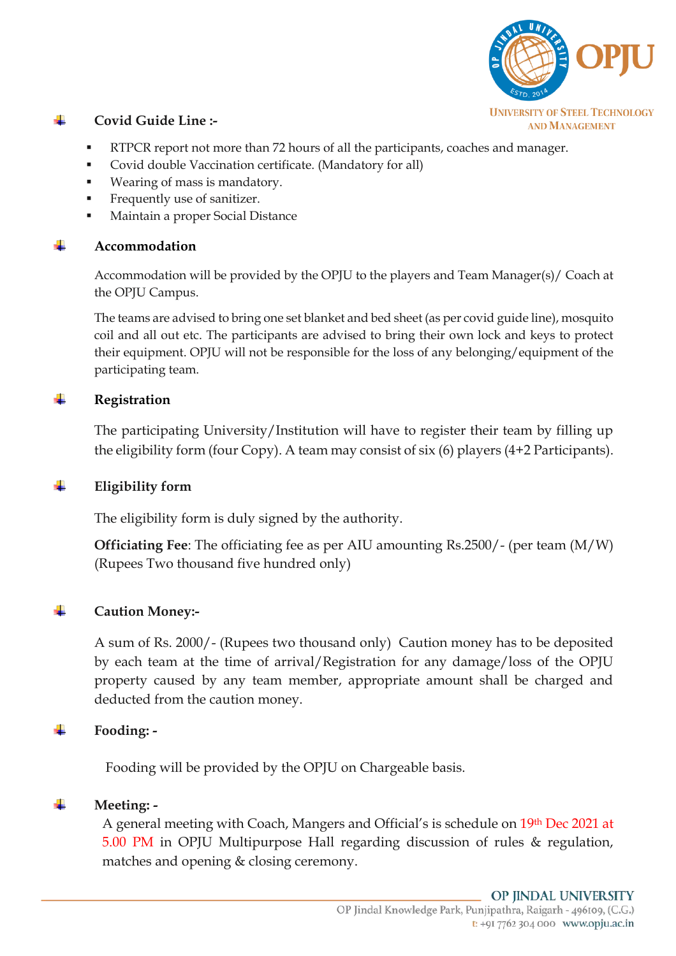

#### ÷ **Covid Guide Line :-**

- RTPCR report not more than 72 hours of all the participants, coaches and manager.
- Covid double Vaccination certificate. (Mandatory for all)
- Wearing of mass is mandatory.
- Frequently use of sanitizer.
- Maintain a proper Social Distance

## **Accommodation**

Accommodation will be provided by the OPJU to the players and Team Manager(s)/ Coach at the OPJU Campus.

The teams are advised to bring one set blanket and bed sheet (as per covid guide line), mosquito coil and all out etc. The participants are advised to bring their own lock and keys to protect their equipment. OPJU will not be responsible for the loss of any belonging/equipment of the participating team.

#### ÷ **Registration**

The participating University/Institution will have to register their team by filling up the eligibility form (four Copy). A team may consist of six (6) players (4+2 Participants).

## **Eligibility form**

The eligibility form is duly signed by the authority.

**Officiating Fee**: The officiating fee as per AIU amounting Rs.2500/- (per team (M/W) (Rupees Two thousand five hundred only)

#### **Caution Money:-** ÷

A sum of Rs. 2000/- (Rupees two thousand only) Caution money has to be deposited by each team at the time of arrival/Registration for any damage/loss of the OPJU property caused by any team member, appropriate amount shall be charged and deducted from the caution money.

#### ÷ **Fooding: -**

Fooding will be provided by the OPJU on Chargeable basis.

#### ÷ **Meeting: -**

A general meeting with Coach, Mangers and Official's is schedule on 19th Dec 2021 at 5.00 PM in OPJU Multipurpose Hall regarding discussion of rules & regulation, matches and opening & closing ceremony.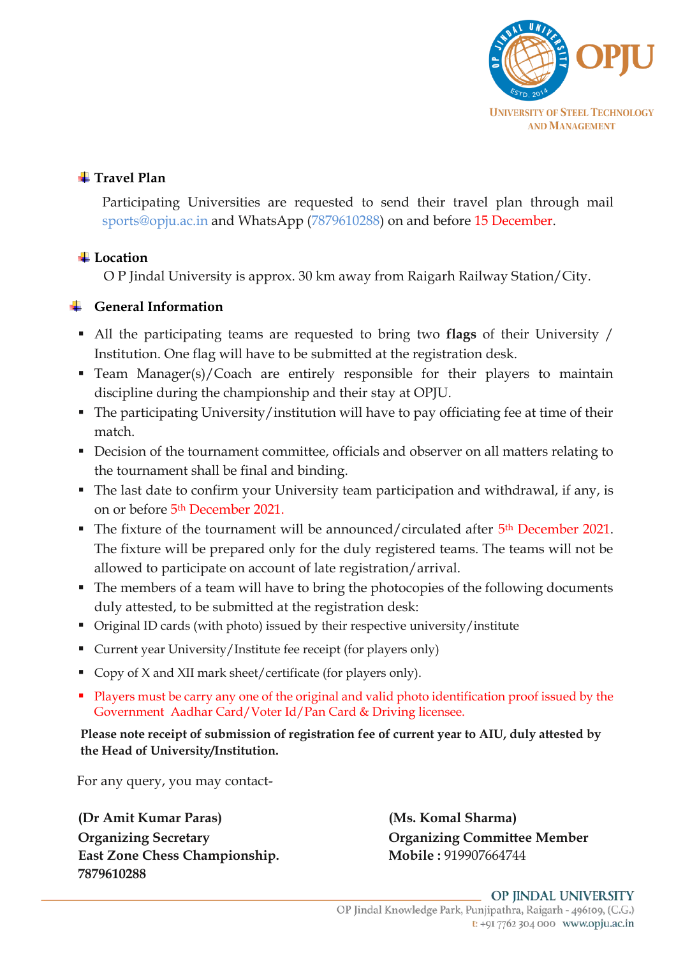

# $\frac{1}{2}$  **Travel Plan**

Participating Universities are requested to send their travel plan through mail sports@opju.ac.in and WhatsApp (7879610288) on and before 15 December.

# $\text{Location}$

O P Jindal University is approx. 30 km away from Raigarh Railway Station/City.

# **General Information**

- All the participating teams are requested to bring two **flags** of their University / Institution. One flag will have to be submitted at the registration desk.
- **•** Team Manager(s)/Coach are entirely responsible for their players to maintain discipline during the championship and their stay at OPJU.
- The participating University/institution will have to pay officiating fee at time of their match.
- Decision of the tournament committee, officials and observer on all matters relating to the tournament shall be final and binding.
- The last date to confirm your University team participation and withdrawal, if any, is on or before 5th December 2021.
- The fixture of the tournament will be announced/circulated after 5<sup>th</sup> December 2021. The fixture will be prepared only for the duly registered teams. The teams will not be allowed to participate on account of late registration/arrival.
- The members of a team will have to bring the photocopies of the following documents duly attested, to be submitted at the registration desk:
- Original ID cards (with photo) issued by their respective university/institute
- Current year University/Institute fee receipt (for players only)
- Copy of X and XII mark sheet/certificate (for players only).
- Players must be carry any one of the original and valid photo identification proof issued by the Government Aadhar Card/Voter Id/Pan Card & Driving licensee.

 **Please note receipt of submission of registration fee of current year to AIU, duly attested by the Head of University/Institution.** 

For any query, you may contact-

**(Dr Amit Kumar Paras) (Ms. Komal Sharma) Organizing Secretary Organizing Committee Member** East Zone Chess Championship. Mobile : 919907664744 **7879610288**